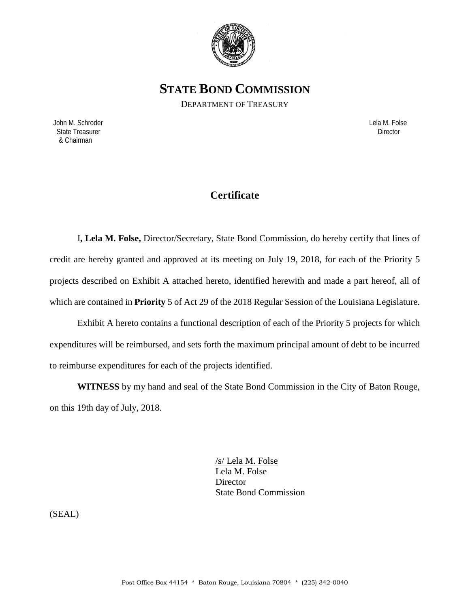

**STATE BOND COMMISSION**

DEPARTMENT OF TREASURY

 John M. Schroder Lela M. Folse State Treasurer Director Contractor Contractor Contractor Contractor Contractor Contractor Director & Chairman

# **Certificate**

I**, Lela M. Folse,** Director/Secretary, State Bond Commission, do hereby certify that lines of credit are hereby granted and approved at its meeting on July 19, 2018, for each of the Priority 5 projects described on Exhibit A attached hereto, identified herewith and made a part hereof, all of which are contained in **Priority** 5 of Act 29 of the 2018 Regular Session of the Louisiana Legislature.

Exhibit A hereto contains a functional description of each of the Priority 5 projects for which expenditures will be reimbursed, and sets forth the maximum principal amount of debt to be incurred to reimburse expenditures for each of the projects identified.

**WITNESS** by my hand and seal of the State Bond Commission in the City of Baton Rouge, on this 19th day of July, 2018.

> /s/ Lela M. Folse Lela M. Folse Director State Bond Commission

(SEAL)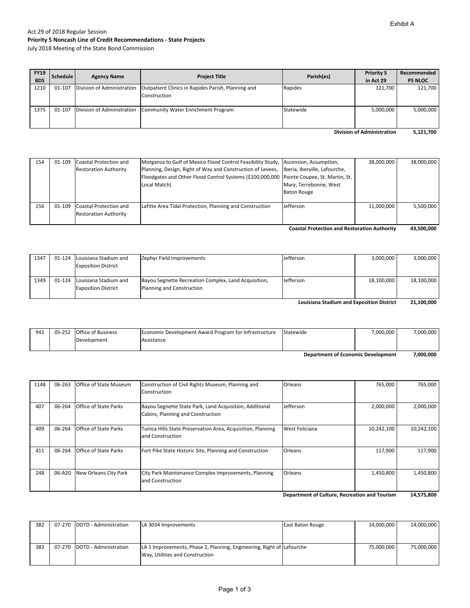### Act 29 of 2018 Regular Session **Priority 5 Noncash Line of Credit Recommendations ‐ State Projects**

July 2018 Meeting of the State Bond Commission

| <b>FY19</b><br><b>BDS</b>         | Schedule | <b>Agency Name</b>         | <b>Project Title</b>                                               | Parish(es) | <b>Priority 5</b><br>in Act 29 | Recommended<br><b>P5 NLOC</b> |
|-----------------------------------|----------|----------------------------|--------------------------------------------------------------------|------------|--------------------------------|-------------------------------|
| 1210                              | 01-107   | Division of Administration | Outpatient Clinics in Rapides Parish, Planning and<br>Construction | Rapides    | 121,700                        | 121,700                       |
| 1375                              | 01-107   |                            | Division of Administration Community Water Enrichment Program      | Statewide  | 5,000,000                      | 5,000,000                     |
| <b>Division of Administration</b> |          |                            |                                                                    |            | 5,121,700                      |                               |

|     |        |                                                        |                                                                                                                                                                                                      | Constal Destaction and Destaurtion Authority. |            | 12.50000   |
|-----|--------|--------------------------------------------------------|------------------------------------------------------------------------------------------------------------------------------------------------------------------------------------------------------|-----------------------------------------------|------------|------------|
| 156 | 01-109 | Coastal Protection and<br><b>Restoration Authority</b> | Lafitte Area Tidal Protection, Planning and Construction                                                                                                                                             | Jefferson                                     | 11,000,000 | 5.500.000  |
|     |        | <b>Restoration Authority</b>                           | Planning, Design, Right of Way and Construction of Levees, Iberia, Iberville, Lafourche,<br>Floodgates and Other Flood Control Systems (\$100,000,000 Pointe Coupee, St. Martin, St.<br>Local Match) | Mary, Terrebonne, West<br><b>Baton Rouge</b>  |            |            |
| 154 | 01-109 | Coastal Protection and                                 | Morganza to Gulf of Mexico Flood Control Feasibility Study, Ascension, Assumption,                                                                                                                   |                                               | 38,000,000 | 38,000,000 |

**43,500,000 Coastal Protection and Restoration Authority**

| 1347                                             | 01-124 | Louisiana Stadium and<br><b>Exposition District</b> | Zephyr Field Improvements                                                         | Jefferson  | 3,000,000  | 3.000.000  |
|--------------------------------------------------|--------|-----------------------------------------------------|-----------------------------------------------------------------------------------|------------|------------|------------|
| 1349                                             | 01-124 | Louisiana Stadium and<br><b>Exposition District</b> | Bayou Segnette Recreation Complex, Land Acquisition,<br>Planning and Construction | Jefferson  | 18,100,000 | 18,100,000 |
| <b>Louisiana Stadium and Exposition District</b> |        |                                                     |                                                                                   | 21.100.000 |            |            |

|     |                           |                                                       | <b>Department of Economic Development</b> |           | 7.000.000 |
|-----|---------------------------|-------------------------------------------------------|-------------------------------------------|-----------|-----------|
|     | Development               | Assistance                                            |                                           |           |           |
| 941 | 05-252 Office of Business | Economic Development Award Program for Infrastructure | Statewide                                 | 7.000.000 | 7.000.000 |

| 1148 | 06-263 | <b>Office of State Museum</b> | Construction of Civil Rights Museum, Planning and<br>Construction                            | Orleans        | 765,000    | 765,000    |
|------|--------|-------------------------------|----------------------------------------------------------------------------------------------|----------------|------------|------------|
| 407  | 06-264 | <b>Office of State Parks</b>  | Bayou Segnette State Park, Land Acquisition, Additional<br>Cabins, Planning and Construction | Jefferson      | 2,000,000  | 2,000,000  |
| 409  | 06-264 | <b>Office of State Parks</b>  | Tunica Hills State Preservation Area, Acquisition, Planning<br>and Construction              | West Feliciana | 10,242,100 | 10,242,100 |
| 411  | 06-264 | <b>Office of State Parks</b>  | Fort Pike State Historic Site, Planning and Construction                                     | Orleans        | 117,900    | 117,900    |
| 248  | 06-A20 | New Orleans City Park         | City Park Maintenance Complex Improvements, Planning<br>and Construction                     | Orleans        | 1,450,800  | 1,450,800  |

**14,575,800 Department of Culture, Recreation and Tourism**

| 382 | 07-270 IDOTD - Administration | LA 3034 Improvements                                                  | East Baton Rouge | 14,000,000 | 14,000,000 |
|-----|-------------------------------|-----------------------------------------------------------------------|------------------|------------|------------|
|     |                               |                                                                       |                  |            |            |
|     |                               |                                                                       |                  |            |            |
| 383 | 07-270 DOTD - Administration  | LA 1 Improvements, Phase 2, Planning, Engineering, Right of Lafourche |                  | 75.000.000 | 75.000.000 |
|     |                               | Way, Utilities and Construction                                       |                  |            |            |
|     |                               |                                                                       |                  |            |            |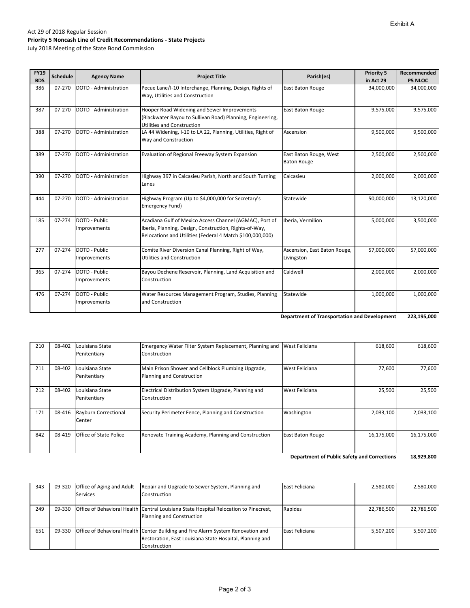#### Act 29 of 2018 Regular Session **Priority 5 Noncash Line of Credit Recommendations ‐ State Projects** July 2018 Meeting of the State Bond Commission

| <b>Schedule</b> | <b>Agency Name</b>            | <b>Project Title</b>                                                                                                                                                           | Parish(es)                                   | <b>Priority 5</b><br>in Act 29 | Recommended<br><b>P5 NLOC</b> |
|-----------------|-------------------------------|--------------------------------------------------------------------------------------------------------------------------------------------------------------------------------|----------------------------------------------|--------------------------------|-------------------------------|
| 07-270          | <b>DOTD - Administration</b>  | Pecue Lane/I-10 Interchange, Planning, Design, Rights of<br>Way, Utilities and Construction                                                                                    | East Baton Rouge                             | 34,000,000                     | 34,000,000                    |
| 07-270          | DOTD - Administration         | Hooper Road Widening and Sewer Improvements<br>(Blackwater Bayou to Sullivan Road) Planning, Engineering,<br><b>Utilities and Construction</b>                                 | East Baton Rouge                             | 9,575,000                      | 9,575,000                     |
| 07-270          | DOTD - Administration         | LA 44 Widening, I-10 to LA 22, Planning, Utilities, Right of<br>Way and Construction                                                                                           | Ascension                                    | 9,500,000                      | 9,500,000                     |
| 07-270          | DOTD - Administration         | Evaluation of Regional Freeway System Expansion                                                                                                                                | East Baton Rouge, West<br><b>Baton Rouge</b> | 2,500,000                      | 2,500,000                     |
| 07-270          | DOTD - Administration         | Highway 397 in Calcasieu Parish, North and South Turning<br>Lanes                                                                                                              | Calcasieu                                    | 2,000,000                      | 2,000,000                     |
| 07-270          | DOTD - Administration         | Highway Program (Up to \$4,000,000 for Secretary's<br>Emergency Fund)                                                                                                          | Statewide                                    | 50,000,000                     | 13,120,000                    |
| 07-274          | DOTD - Public<br>Improvements | Acadiana Gulf of Mexico Access Channel (AGMAC), Port of<br>Iberia, Planning, Design, Construction, Rights-of-Way,<br>Relocations and Utilities (Federal 4 Match \$100,000,000) | Iberia, Vermilion                            | 5,000,000                      | 3,500,000                     |
| 07-274          | DOTD - Public<br>Improvements | Comite River Diversion Canal Planning, Right of Way,<br><b>Utilities and Construction</b>                                                                                      | Ascension, East Baton Rouge,<br>Livingston   | 57,000,000                     | 57,000,000                    |
| 07-274          | DOTD - Public<br>Improvements | Bayou Dechene Reservoir, Planning, Land Acquisition and<br>Construction                                                                                                        | Caldwell                                     | 2,000,000                      | 2,000,000                     |
| 07-274          | DOTD - Public<br>Improvements | Water Resources Management Program, Studies, Planning<br>and Construction                                                                                                      | Statewide                                    | 1,000,000                      | 1,000,000                     |
|                 |                               |                                                                                                                                                                                |                                              |                                |                               |

**223,195,000 Department of Transportation and Development**

|     |        |                                       |                                                                                 | <b>Department of Public Safety and Corrections</b> |            | 18,929,800 |
|-----|--------|---------------------------------------|---------------------------------------------------------------------------------|----------------------------------------------------|------------|------------|
| 842 | 08-419 | Office of State Police                | Renovate Training Academy, Planning and Construction                            | <b>East Baton Rouge</b>                            | 16,175,000 | 16,175,000 |
| 171 | 08-416 | <b>Rayburn Correctional</b><br>Center | Security Perimeter Fence, Planning and Construction                             | Washington                                         | 2,033,100  | 2,033,100  |
| 212 | 08-402 | Louisiana State<br>Penitentiary       | Electrical Distribution System Upgrade, Planning and<br>Construction            | West Feliciana                                     | 25,500     | 25,500     |
| 211 | 08-402 | Louisiana State<br>Penitentiary       | Main Prison Shower and Cellblock Plumbing Upgrade,<br>Planning and Construction | West Feliciana                                     | 77,600     | 77.600     |
| 210 | 08-402 | Louisiana State<br>Penitentiary       | Emergency Water Filter System Replacement, Planning and<br>Construction         | West Feliciana                                     | 618,600    | 618,600    |

| 343 | 09-320 Office of Aging and Adult | Repair and Upgrade to Sewer System, Planning and                                             | East Feliciana | 2,580,000  | 2,580,000  |
|-----|----------------------------------|----------------------------------------------------------------------------------------------|----------------|------------|------------|
|     | Services                         | Construction                                                                                 |                |            |            |
|     |                                  |                                                                                              |                |            |            |
| 249 |                                  | 09-330 Office of Behavioral Health Central Louisiana State Hospital Relocation to Pinecrest, | Rapides        | 22,786,500 | 22,786,500 |
|     |                                  | Planning and Construction                                                                    |                |            |            |
|     |                                  |                                                                                              |                |            |            |
| 651 |                                  | 09-330 Office of Behavioral Health Center Building and Fire Alarm System Renovation and      | East Feliciana | 5.507.200  | 5.507.200  |
|     |                                  | Restoration, East Louisiana State Hospital, Planning and                                     |                |            |            |
|     |                                  | Construction                                                                                 |                |            |            |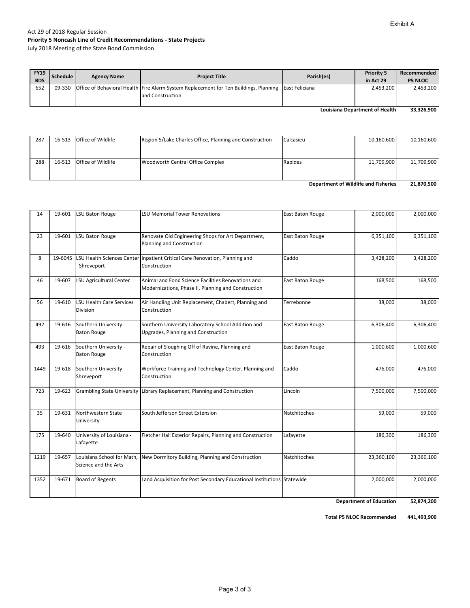## Act 29 of 2018 Regular Session **Priority 5 Noncash Line of Credit Recommendations ‐ State Projects**

| July 2018 Meeting of the State Bond Commission |  |
|------------------------------------------------|--|
|                                                |  |

| <b>FY19</b><br><b>BDS</b> | <b>Schedule</b> | <b>Agency Name</b> | <b>Project Title</b>                                                                                                             | Parish(es) | <b>Priority 5</b><br>in Act 29 | Recommended<br><b>P5 NLOC</b> |
|---------------------------|-----------------|--------------------|----------------------------------------------------------------------------------------------------------------------------------|------------|--------------------------------|-------------------------------|
| 652                       |                 |                    | 09-330 Office of Behavioral Health Fire Alarm System Replacement for Ten Buildings, Planning East Feliciana<br>land Construction |            | 2.453.200                      | 2,453,200                     |

**33,326,900 Louisiana Department of Health**

| 287                                  |  | 16-513 Office of Wildlife | Region 5/Lake Charles Office, Planning and Construction | Calcasieu | 10,160,600 | 10,160,600 |
|--------------------------------------|--|---------------------------|---------------------------------------------------------|-----------|------------|------------|
|                                      |  |                           |                                                         |           |            |            |
|                                      |  |                           |                                                         |           |            |            |
| 288                                  |  | 16-513 Office of Wildlife | Woodworth Central Office Complex                        | Rapides   | 11,709,900 | 11,709,900 |
|                                      |  |                           |                                                         |           |            |            |
|                                      |  |                           |                                                         |           |            |            |
| Department of Wildlife and Fisheries |  |                           |                                                         |           | 21,870,500 |            |

| 14   | 19-601                                                | <b>LSU Baton Rouge</b>                                                                                                                   | <b>LSU Memorial Tower Renovations</b>                                                                                         | East Baton Rouge | 2,000,000         | 2,000,000         |
|------|-------------------------------------------------------|------------------------------------------------------------------------------------------------------------------------------------------|-------------------------------------------------------------------------------------------------------------------------------|------------------|-------------------|-------------------|
| 23   | 19-601                                                | LSU Baton Rouge                                                                                                                          | Renovate Old Engineering Shops for Art Department,<br>Planning and Construction                                               | East Baton Rouge | 6,351,100         | 6,351,100         |
| 8    | 19-604S                                               | Shreveport                                                                                                                               | LSU Health Sciences Center Inpatient Critical Care Renovation, Planning and<br>Construction                                   | Caddo            | 3,428,200         | 3,428,200         |
| 46   | 19-607                                                | LSU Agricultural Center                                                                                                                  | Animal and Food Science Facilities Renovations and<br>East Baton Rouge<br>Modernizations, Phase II, Planning and Construction |                  | 168,500           | 168,500           |
| 56   | 19-610                                                | <b>LSU Health Care Services</b><br>Air Handling Unit Replacement, Chabert, Planning and<br>Terrebonne<br><b>Division</b><br>Construction |                                                                                                                               | 38,000           | 38,000            |                   |
| 492  | Southern University -<br>19-616<br><b>Baton Rouge</b> |                                                                                                                                          | Southern University Laboratory School Addition and<br>Upgrades, Planning and Construction                                     | East Baton Rouge | 6,306,400         | 6,306,400         |
| 493  | 19-616                                                | Southern University -<br><b>Baton Rouge</b>                                                                                              | Repair of Sloughing Off of Ravine, Planning and<br>Construction                                                               | East Baton Rouge | 1,000,600         | 1,000,600         |
| 1449 | 19-618                                                | Southern University -<br>Shreveport                                                                                                      | Workforce Training and Technology Center, Planning and<br>Construction                                                        | Caddo            | 476,000           | 476,000           |
| 723  | 19-623                                                |                                                                                                                                          | Grambling State University Library Replacement, Planning and Construction                                                     | Lincoln          | 7,500,000         | 7,500,000         |
| 35   | 19-631                                                | Northwestern State<br>University                                                                                                         | South Jefferson Street Extension                                                                                              | Natchitoches     | 59,000            | 59,000            |
| 175  | 19-640                                                | University of Louisiana -<br>Lafayette                                                                                                   | Fletcher Hall Exterior Repairs, Planning and Construction                                                                     | Lafayette        | 186,300           | 186,300           |
| 1219 | 19-657                                                | Natchitoches<br>Louisiana School for Math,<br>New Dormitory Building, Planning and Construction<br>Science and the Arts                  |                                                                                                                               | 23,360,100       | 23,360,100        |                   |
| 1352 | 19-671                                                | <b>Board of Regents</b>                                                                                                                  | Land Acquisition for Post Secondary Educational Institutions Statewide<br>2,000,000                                           |                  | 2,000,000         |                   |
|      |                                                       |                                                                                                                                          |                                                                                                                               |                  | A Falconato<br>n. | <b>ED 874 200</b> |

**52,874,200 Department of Education**

**Total P5 NLOC Recommended 441,493,900**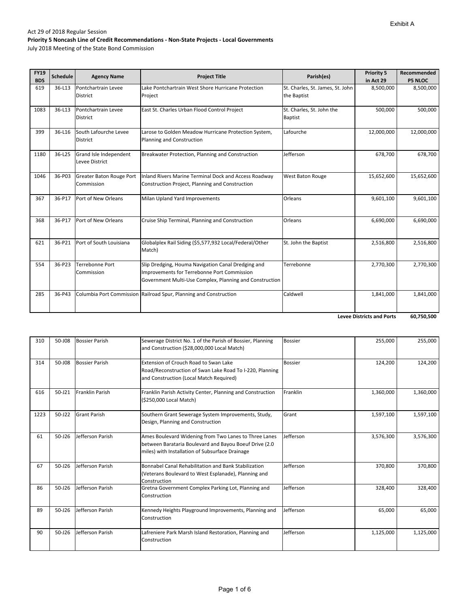July 2018 Meeting of the State Bond Commission

| <b>FY19</b><br><b>BDS</b> | Schedule                                           | <b>Agency Name</b>                     | <b>Project Title</b>                                                                                                                                         | Parish(es)                                      | <b>Priority 5</b><br>in Act 29 | Recommended<br><b>P5 NLOC</b> |
|---------------------------|----------------------------------------------------|----------------------------------------|--------------------------------------------------------------------------------------------------------------------------------------------------------------|-------------------------------------------------|--------------------------------|-------------------------------|
| 619                       | 36-L13                                             | Pontchartrain Levee<br><b>District</b> | Lake Pontchartrain West Shore Hurricane Protection<br>Project                                                                                                | St. Charles, St. James, St. John<br>the Baptist | 8,500,000                      | 8,500,000                     |
| 1083                      | 36-L13                                             | Pontchartrain Levee<br><b>District</b> | East St. Charles Urban Flood Control Project                                                                                                                 | St. Charles, St. John the<br><b>Baptist</b>     | 500,000                        | 500,000                       |
| 399                       | $36 - 116$                                         | South Lafourche Levee<br>District      | Larose to Golden Meadow Hurricane Protection System,<br>Planning and Construction                                                                            | Lafourche                                       | 12,000,000                     | 12,000,000                    |
| 1180                      | 36-L25<br>Grand Isle Independent<br>Levee District |                                        | Breakwater Protection, Planning and Construction                                                                                                             | Jefferson                                       | 678,700                        | 678,700                       |
| 1046                      | 36-P03<br>Greater Baton Rouge Port<br>Commission   |                                        | Inland Rivers Marine Terminal Dock and Access Roadway<br>Construction Project, Planning and Construction                                                     | <b>West Baton Rouge</b>                         | 15,652,600                     | 15,652,600                    |
| 367                       | 36-P17<br>Port of New Orleans                      |                                        | Milan Upland Yard Improvements                                                                                                                               | Orleans                                         | 9,601,100                      | 9,601,100                     |
| 368                       | 36-P17                                             | Port of New Orleans                    | Cruise Ship Terminal, Planning and Construction                                                                                                              | Orleans                                         | 6,690,000                      | 6,690,000                     |
| 621                       | 36-P21                                             | Port of South Louisiana                | Globalplex Rail Siding (\$5,577,932 Local/Federal/Other<br>Match)                                                                                            | St. John the Baptist                            | 2,516,800                      | 2,516,800                     |
| 554                       | 36-P23<br>Terrebonne Port<br>Commission            |                                        | Slip Dredging, Houma Navigation Canal Dredging and<br>Improvements for Terrebonne Port Commission<br>Government Multi-Use Complex, Planning and Construction | Terrebonne                                      | 2,770,300                      | 2,770,300                     |
| 285                       | 36-P43                                             |                                        | Columbia Port Commission Railroad Spur, Planning and Construction                                                                                            | Caldwell                                        | 1,841,000                      | 1,841,000                     |

**60,750,500 Levee Districts and Ports**

| 310  | 50-J08     | <b>Bossier Parish</b> | Sewerage District No. 1 of the Parish of Bossier, Planning<br><b>Bossier</b><br>and Construction (\$28,000,000 Local Match)                                        |                | 255,000   | 255,000   |
|------|------------|-----------------------|--------------------------------------------------------------------------------------------------------------------------------------------------------------------|----------------|-----------|-----------|
| 314  | 50-J08     | <b>Bossier Parish</b> | Extension of Crouch Road to Swan Lake<br>Road/Reconstruction of Swan Lake Road To I-220, Planning<br>and Construction (Local Match Required)                       | <b>Bossier</b> | 124,200   | 124,200   |
| 616  | $50 - 121$ | Franklin Parish       | Franklin Parish Activity Center, Planning and Construction<br>(\$250,000 Local Match)                                                                              | Franklin       | 1,360,000 |           |
| 1223 | 50-J22     | <b>Grant Parish</b>   | Southern Grant Sewerage System Improvements, Study,<br>Design, Planning and Construction                                                                           | Grant          | 1,597,100 | 1,597,100 |
| 61   | $50 - 126$ | Jefferson Parish      | Ames Boulevard Widening from Two Lanes to Three Lanes<br>between Barataria Boulevard and Bayou Boeuf Drive (2.0<br>miles) with Installation of Subsurface Drainage | Jefferson      | 3,576,300 | 3,576,300 |
| 67   | 50-J26     | Jefferson Parish      | Bonnabel Canal Rehabilitation and Bank Stabilization<br>(Veterans Boulevard to West Esplanade), Planning and<br>Construction                                       | Jefferson      | 370,800   | 370,800   |
| 86   | $50 - 126$ | Jefferson Parish      | Gretna Government Complex Parking Lot, Planning and<br>Construction                                                                                                | Jefferson      | 328,400   | 328,400   |
| 89   | 50-J26     | Jefferson Parish      | Kennedy Heights Playground Improvements, Planning and<br>Construction                                                                                              | Jefferson      | 65,000    | 65,000    |
| 90   | $50 - 126$ | Jefferson Parish      | Lafreniere Park Marsh Island Restoration, Planning and<br>Construction                                                                                             | Jefferson      | 1,125,000 | 1,125,000 |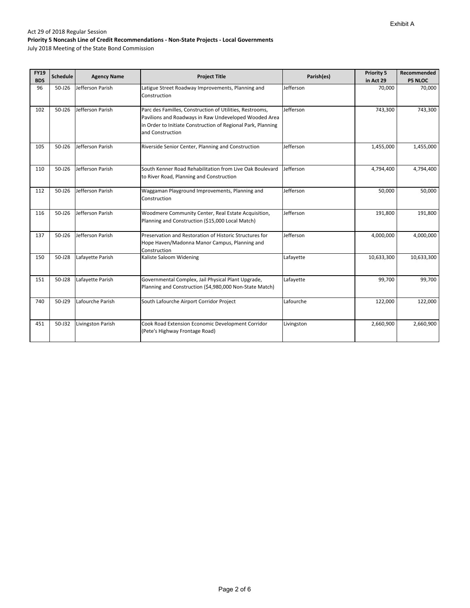July 2018 Meeting of the State Bond Commission

| <b>FY19</b><br><b>BDS</b> | <b>Schedule</b> | <b>Agency Name</b> | <b>Project Title</b>                                                                                                                                                                                  | Parish(es) | <b>Priority 5</b><br>in Act 29 | Recommended<br><b>P5 NLOC</b> |
|---------------------------|-----------------|--------------------|-------------------------------------------------------------------------------------------------------------------------------------------------------------------------------------------------------|------------|--------------------------------|-------------------------------|
| 96                        | $50 - 126$      | Jefferson Parish   | Latigue Street Roadway Improvements, Planning and<br>Construction                                                                                                                                     | Jefferson  | 70.000                         | 70,000                        |
| 102                       | $50 - 126$      | Jefferson Parish   | Parc des Familles, Construction of Utilities, Restrooms,<br>Pavilions and Roadways in Raw Undeveloped Wooded Area<br>in Order to Initiate Construction of Regional Park, Planning<br>and Construction | Jefferson  | 743,300                        | 743,300                       |
| 105                       | $50 - 126$      | Jefferson Parish   | Riverside Senior Center, Planning and Construction                                                                                                                                                    | Jefferson  | 1,455,000                      | 1,455,000                     |
| 110                       | $50 - 126$      | Jefferson Parish   | South Kenner Road Rehabilitation from Live Oak Boulevard<br>to River Road, Planning and Construction                                                                                                  | Jefferson  | 4,794,400                      | 4,794,400                     |
| 112                       | $50 - 126$      | Jefferson Parish   | Waggaman Playground Improvements, Planning and<br>Construction                                                                                                                                        | Jefferson  | 50,000                         | 50,000                        |
| 116                       | $50 - 126$      | Jefferson Parish   | Woodmere Community Center, Real Estate Acquisition,<br>Jefferson<br>Planning and Construction (\$15,000 Local Match)                                                                                  |            | 191,800                        | 191,800                       |
| 137                       | $50 - 126$      | Jefferson Parish   | Preservation and Restoration of Historic Structures for<br>Hope Haven/Madonna Manor Campus, Planning and<br>Construction                                                                              | Jefferson  | 4,000,000                      | 4,000,000                     |
| 150                       | 50-J28          | Lafayette Parish   | Kaliste Saloom Widening                                                                                                                                                                               | Lafayette  | 10,633,300                     | 10,633,300                    |
| 151                       | 50-J28          | Lafayette Parish   | Governmental Complex, Jail Physical Plant Upgrade,<br>Planning and Construction (\$4,980,000 Non-State Match)                                                                                         | Lafayette  | 99,700                         | 99,700                        |
| 740                       | $50 - 129$      | Lafourche Parish   | South Lafourche Airport Corridor Project                                                                                                                                                              | Lafourche  | 122,000                        | 122,000                       |
| 451                       | 50-J32          | Livingston Parish  | Cook Road Extension Economic Development Corridor<br>(Pete's Highway Frontage Road)                                                                                                                   | Livingston | 2,660,900                      | 2,660,900                     |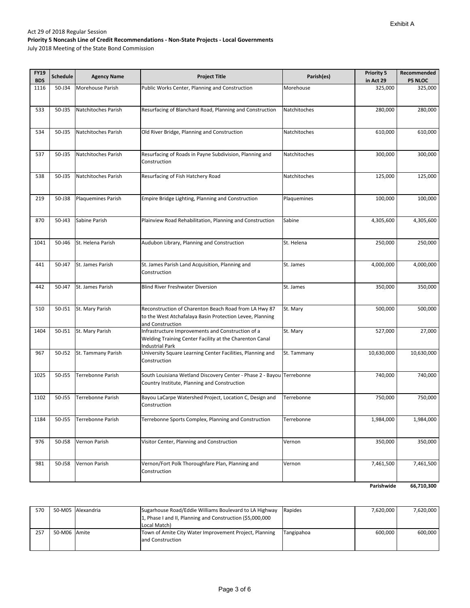July 2018 Meeting of the State Bond Commission

| <b>FY19</b><br><b>BDS</b> | Schedule                                                                                                   | <b>Agency Name</b>                                                                      | <b>Project Title</b>                                                                                                                   | Parish(es)   | <b>Priority 5</b><br>in Act 29 | Recommended<br><b>P5 NLOC</b> |
|---------------------------|------------------------------------------------------------------------------------------------------------|-----------------------------------------------------------------------------------------|----------------------------------------------------------------------------------------------------------------------------------------|--------------|--------------------------------|-------------------------------|
| 1116                      | 50-J34                                                                                                     | Morehouse Parish                                                                        | Public Works Center, Planning and Construction                                                                                         | Morehouse    | 325,000                        | 325,000                       |
| 533                       | 50-J35                                                                                                     | Natchitoches Parish                                                                     | Resurfacing of Blanchard Road, Planning and Construction                                                                               | Natchitoches | 280,000                        | 280,000                       |
| 534                       | 50-J35                                                                                                     | Natchitoches Parish                                                                     | Old River Bridge, Planning and Construction                                                                                            | Natchitoches | 610,000                        | 610,000                       |
| 537                       | 50-J35                                                                                                     | Natchitoches Parish                                                                     | Resurfacing of Roads in Payne Subdivision, Planning and<br>Construction                                                                | Natchitoches | 300,000                        | 300,000                       |
| 538                       | 50-J35                                                                                                     | Natchitoches Parish<br>Natchitoches<br>Resurfacing of Fish Hatchery Road                |                                                                                                                                        | 125,000      | 125,000                        |                               |
| 219                       | 50-J38                                                                                                     | <b>Plaquemines Parish</b>                                                               | Empire Bridge Lighting, Planning and Construction                                                                                      | Plaquemines  | 100,000                        | 100,000                       |
| 870                       | $50 - 143$<br>Sabine Parish                                                                                |                                                                                         | Plainview Road Rehabilitation, Planning and Construction                                                                               | Sabine       | 4,305,600                      | 4,305,600                     |
| 1041                      | St. Helena Parish<br>St. Helena<br>50-J46<br>Audubon Library, Planning and Construction                    |                                                                                         | 250,000                                                                                                                                | 250,000      |                                |                               |
| 441                       | 50-J47<br>St. James Parish<br>St. James Parish Land Acquisition, Planning and<br>St. James<br>Construction |                                                                                         |                                                                                                                                        | 4,000,000    | 4,000,000                      |                               |
| 442                       | 50-J47                                                                                                     | St. James Parish                                                                        | Blind River Freshwater Diversion                                                                                                       | St. James    | 350,000                        | 350,000                       |
| 510                       | 50-J51                                                                                                     | St. Mary Parish                                                                         | Reconstruction of Charenton Beach Road from LA Hwy 87<br>to the West Atchafalaya Basin Protection Levee, Planning<br>and Construction  | St. Mary     | 500,000                        | 500,000                       |
| 1404                      | 50-J51                                                                                                     | St. Mary Parish                                                                         | Infrastructure Improvements and Construction of a<br>Welding Training Center Facility at the Charenton Canal<br><b>Industrial Park</b> | St. Mary     | 527,000                        | 27,000                        |
| 967                       | 50-J52                                                                                                     | St. Tammany Parish                                                                      | University Square Learning Center Facilities, Planning and<br>Construction                                                             | St. Tammany  | 10,630,000                     | 10,630,000                    |
| 1025                      | 50-J55                                                                                                     | <b>Terrebonne Parish</b>                                                                | South Louisiana Wetland Discovery Center - Phase 2 - Bayou Terrebonne<br>Country Institute, Planning and Construction                  |              | 740,000                        | 740,000                       |
| 1102                      | 50-J55                                                                                                     | Terrebonne Parish                                                                       | Bayou LaCarpe Watershed Project, Location C, Design and<br>Construction                                                                | Terrebonne   | 750,000                        | 750,000                       |
| 1184                      | 50-J55                                                                                                     | Terrebonne Sports Complex, Planning and Construction<br>Terrebonne Parish<br>Terrebonne |                                                                                                                                        | 1,984,000    | 1,984,000                      |                               |
| 976                       | 50-J58                                                                                                     | Visitor Center, Planning and Construction<br>Vernon Parish<br>Vernon                    |                                                                                                                                        | 350,000      | 350,000                        |                               |
| 981                       | 50-J58                                                                                                     | Vernon Parish                                                                           | Vernon/Fort Polk Thoroughfare Plan, Planning and<br>Construction                                                                       | Vernon       | 7,461,500                      | 7,461,500                     |

**66,710,300 Parishwide**

| 570 |              | 50-M05 Alexandria | Sugarhouse Road/Eddie Williams Boulevard to LA Highway<br>1, Phase I and II, Planning and Construction (\$5,000,000<br>Local Match) | Rapides    | 7.620.000 | 7,620,000 |
|-----|--------------|-------------------|-------------------------------------------------------------------------------------------------------------------------------------|------------|-----------|-----------|
| 257 | 50-M06 Amite |                   | Town of Amite City Water Improvement Project, Planning<br>land Construction                                                         | Tangipahoa | 600.000   | 600.000   |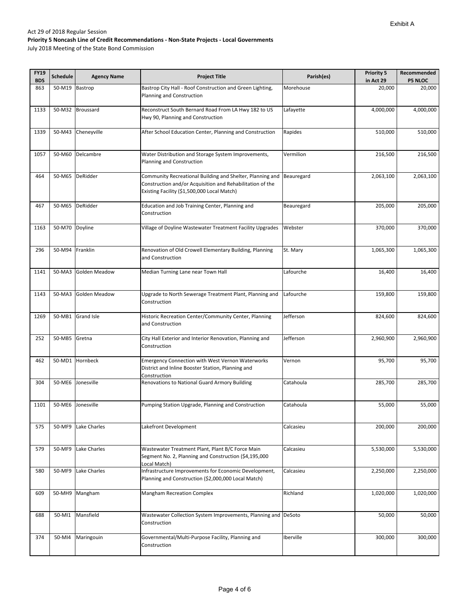July 2018 Meeting of the State Bond Commission

| <b>FY19</b> | Schedule | <b>Agency Name</b>   |                                                                                                                                                                       | Parish(es)<br><b>Project Title</b> |           | Recommended    |
|-------------|----------|----------------------|-----------------------------------------------------------------------------------------------------------------------------------------------------------------------|------------------------------------|-----------|----------------|
| <b>BDS</b>  |          |                      |                                                                                                                                                                       |                                    | in Act 29 | <b>P5 NLOC</b> |
| 863         | 50-M19   | Bastrop              | Bastrop City Hall - Roof Construction and Green Lighting,<br>Planning and Construction                                                                                | Morehouse                          | 20,000    | 20,000         |
| 1133        |          | 50-M32 Broussard     | Reconstruct South Bernard Road From LA Hwy 182 to US<br>Hwy 90, Planning and Construction                                                                             | Lafayette                          | 4,000,000 | 4,000,000      |
| 1339        | 50-M43   | Cheneyville          | After School Education Center, Planning and Construction                                                                                                              | Rapides                            | 510,000   | 510,000        |
| 1057        | 50-M60   | Delcambre            | Water Distribution and Storage System Improvements,<br>Planning and Construction                                                                                      | Vermilion                          | 216,500   | 216,500        |
| 464         | 50-M65   | DeRidder             | Community Recreational Building and Shelter, Planning and<br>Construction and/or Acquisition and Rehabilitation of the<br>Existing Facility (\$1,500,000 Local Match) | Beauregard                         | 2,063,100 | 2,063,100      |
| 467         | 50-M65   | DeRidder             | Education and Job Training Center, Planning and<br>Construction                                                                                                       | Beauregard                         | 205,000   | 205,000        |
| 1163        | 50-M70   | Doyline              | Village of Doyline Wastewater Treatment Facility Upgrades                                                                                                             | Webster                            | 370,000   | 370,000        |
| 296         | 50-M94   | Franklin             | Renovation of Old Crowell Elementary Building, Planning<br>St. Mary<br>and Construction                                                                               |                                    | 1,065,300 | 1,065,300      |
| 1141        |          | 50-MA3 Golden Meadow | Lafourche<br>Median Turning Lane near Town Hall                                                                                                                       |                                    | 16,400    | 16,400         |
| 1143        | 50-MA3   | <b>Golden Meadow</b> | Upgrade to North Sewerage Treatment Plant, Planning and<br>Construction                                                                                               | 159,800<br>Lafourche               |           | 159,800        |
| 1269        | 50-MB1   | <b>Grand Isle</b>    | Jefferson<br>Historic Recreation Center/Community Center, Planning<br>and Construction                                                                                |                                    | 824,600   | 824,600        |
| 252         | 50-MB5   | Gretna               | City Hall Exterior and Interior Renovation, Planning and<br>Construction                                                                                              | Jefferson                          | 2,960,900 | 2,960,900      |
| 462         |          | 50-MD1 Hornbeck      | <b>Emergency Connection with West Vernon Waterworks</b><br>District and Inline Booster Station, Planning and<br>Construction                                          | Vernon                             | 95,700    | 95,700         |
| 304         | 50-ME6   | Jonesville           | Renovations to National Guard Armory Building                                                                                                                         | Catahoula                          | 285,700   | 285,700        |
| 1101        |          | 50-ME6 Jonesville    | Pumping Station Upgrade, Planning and Construction                                                                                                                    | Catahoula                          | 55,000    | 55,000         |
| 575         | 50-MF9   | Lake Charles         | Lakefront Development                                                                                                                                                 | Calcasieu                          | 200,000   | 200,000        |
| 579         | 50-MF9   | Lake Charles         | Wastewater Treatment Plant, Plant B/C Force Main<br>Segment No. 2, Planning and Construction (\$4,195,000<br>Local Match)                                             | Calcasieu                          | 5,530,000 | 5,530,000      |
| 580         | 50-MF9   | Lake Charles         | Infrastructure Improvements for Economic Development,<br>Calcasieu<br>Planning and Construction (\$2,000,000 Local Match)                                             |                                    | 2,250,000 | 2,250,000      |
| 609         |          | 50-MH9 Mangham       | <b>Mangham Recreation Complex</b><br>Richland                                                                                                                         |                                    | 1,020,000 | 1,020,000      |
| 688         | 50-MI1   | Mansfield            | Wastewater Collection System Improvements, Planning and DeSoto<br>Construction                                                                                        | 50,000                             |           | 50,000         |
| 374         | 50-MI4   | Maringouin           | Governmental/Multi-Purpose Facility, Planning and<br>Construction                                                                                                     | Iberville                          | 300,000   | 300,000        |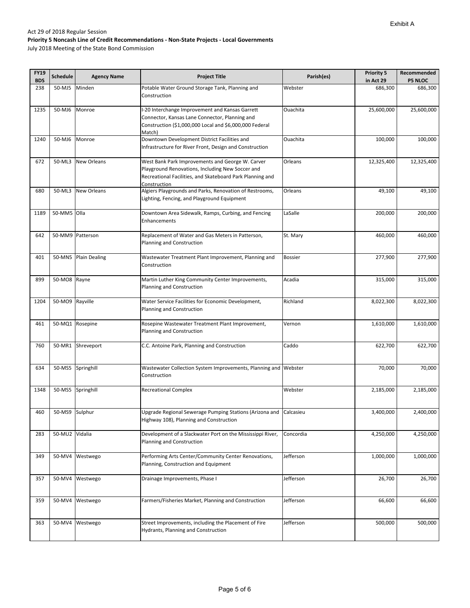July 2018 Meeting of the State Bond Commission

| <b>FY19</b><br><b>BDS</b> | <b>Schedule</b> | <b>Agency Name</b>   | <b>Project Title</b>                                              | Parish(es)     | <b>Priority 5</b><br>in Act 29 | Recommended<br><b>P5 NLOC</b> |
|---------------------------|-----------------|----------------------|-------------------------------------------------------------------|----------------|--------------------------------|-------------------------------|
| 238                       | 50-MJ5          | Minden               | Potable Water Ground Storage Tank, Planning and                   | Webster        | 686,300                        | 686,300                       |
|                           |                 |                      | Construction                                                      |                |                                |                               |
| 1235                      | 50-MJ6          | Monroe               | -20 Interchange Improvement and Kansas Garrett                    | Ouachita       | 25,600,000                     | 25,600,000                    |
|                           |                 |                      | Connector, Kansas Lane Connector, Planning and                    |                |                                |                               |
|                           |                 |                      | Construction (\$1,000,000 Local and \$6,000,000 Federal           |                |                                |                               |
|                           |                 |                      | Match)                                                            |                |                                |                               |
| 1240                      | 50-MJ6          | Monroe               | Downtown Development District Facilities and                      | Ouachita       | 100,000                        | 100,000                       |
|                           |                 |                      | Infrastructure for River Front, Design and Construction           |                |                                |                               |
| 672                       | 50-ML3          | <b>New Orleans</b>   | West Bank Park Improvements and George W. Carver                  | Orleans        | 12,325,400                     | 12,325,400                    |
|                           |                 |                      | Playground Renovations, Including New Soccer and                  |                |                                |                               |
|                           |                 |                      | Recreational Facilities, and Skateboard Park Planning and         |                |                                |                               |
|                           |                 |                      | Construction                                                      |                |                                |                               |
| 680                       | 50-ML3          | New Orleans          | Algiers Playgrounds and Parks, Renovation of Restrooms,           | Orleans        | 49,100                         | 49,100                        |
|                           |                 |                      | Lighting, Fencing, and Playground Equipment                       |                |                                |                               |
| 1189                      | 50-MM5 Olla     |                      | Downtown Area Sidewalk, Ramps, Curbing, and Fencing               | LaSalle        | 200,000                        | 200,000                       |
|                           |                 |                      | Enhancements                                                      |                |                                |                               |
| 642                       |                 | 50-MM9 Patterson     |                                                                   | St. Mary       | 460,000                        | 460,000                       |
|                           |                 |                      | Replacement of Water and Gas Meters in Patterson,                 |                |                                |                               |
|                           |                 |                      | Planning and Construction                                         |                |                                |                               |
| 401                       |                 | 50-MN5 Plain Dealing | Wastewater Treatment Plant Improvement, Planning and              | <b>Bossier</b> | 277,900                        | 277,900                       |
|                           |                 |                      | Construction                                                      |                |                                |                               |
|                           |                 |                      |                                                                   |                |                                |                               |
| 899                       | 50-MO8 Rayne    |                      | Martin Luther King Community Center Improvements,                 | Acadia         | 315,000                        | 315,000                       |
|                           |                 |                      | Planning and Construction                                         |                |                                |                               |
|                           |                 |                      |                                                                   |                |                                |                               |
| 1204                      | 50-MO9          | Rayville             | Water Service Facilities for Economic Development,                | Richland       | 8,022,300                      | 8,022,300                     |
|                           |                 |                      | Planning and Construction                                         |                |                                |                               |
|                           |                 |                      |                                                                   |                |                                |                               |
| 461                       |                 | 50-MQ1 Rosepine      | Rosepine Wastewater Treatment Plant Improvement,                  | Vernon         | 1,610,000                      | 1,610,000                     |
|                           |                 |                      | Planning and Construction                                         |                |                                |                               |
|                           |                 |                      |                                                                   |                |                                |                               |
| 760                       | 50-MR1          | Shreveport           | C.C. Antoine Park, Planning and Construction                      | Caddo          | 622,700                        | 622,700                       |
|                           |                 |                      |                                                                   |                |                                |                               |
| 634                       | 50-MS5          | Springhill           | Wastewater Collection System Improvements, Planning and Webster   |                | 70,000                         | 70,000                        |
|                           |                 |                      | Construction                                                      |                |                                |                               |
|                           |                 |                      |                                                                   |                |                                |                               |
| 1348                      | 50-MS5          | Springhill           | <b>Recreational Complex</b>                                       | Webster        | 2,185,000                      | 2,185,000                     |
|                           |                 |                      |                                                                   |                |                                |                               |
|                           |                 |                      |                                                                   |                |                                |                               |
| 460                       | 50-MS9 Sulphur  |                      | Upgrade Regional Sewerage Pumping Stations (Arizona and Calcasieu |                | 3,400,000                      | 2,400,000                     |
|                           |                 |                      | Highway 108), Planning and Construction                           |                |                                |                               |
|                           |                 |                      |                                                                   |                |                                |                               |
| 283                       | 50-MU2 Vidalia  |                      | Development of a Slackwater Port on the Mississippi River,        | Concordia      | 4,250,000                      | 4,250,000                     |
|                           |                 |                      | Planning and Construction                                         |                |                                |                               |
| 349                       |                 | 50-MV4 Westwego      | Performing Arts Center/Community Center Renovations,              | Jefferson      | 1,000,000                      | 1,000,000                     |
|                           |                 |                      | Planning, Construction and Equipment                              |                |                                |                               |
|                           |                 |                      |                                                                   |                |                                |                               |
| 357                       |                 | 50-MV4 Westwego      | Drainage Improvements, Phase I                                    | Jefferson      | 26,700                         | 26,700                        |
|                           |                 |                      |                                                                   |                |                                |                               |
|                           |                 |                      |                                                                   |                |                                |                               |
| 359                       |                 | 50-MV4 Westwego      | Farmers/Fisheries Market, Planning and Construction               | Jefferson      | 66,600                         | 66,600                        |
|                           |                 |                      |                                                                   |                |                                |                               |
|                           |                 |                      |                                                                   |                |                                |                               |
| 363                       |                 | 50-MV4 Westwego      | Street Improvements, including the Placement of Fire              | Jefferson      | 500,000                        | 500,000                       |
|                           |                 |                      | Hydrants, Planning and Construction                               |                |                                |                               |
|                           |                 |                      |                                                                   |                |                                |                               |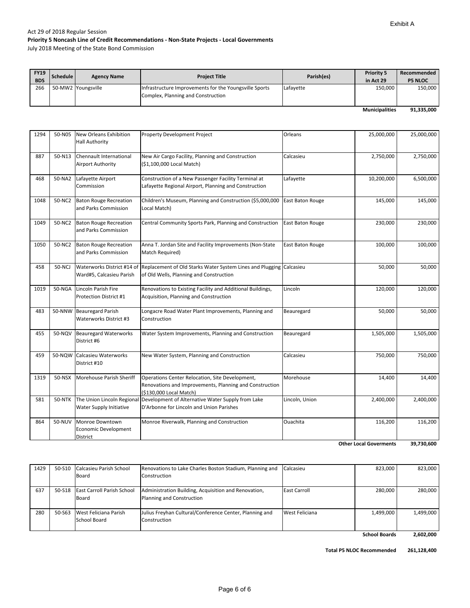July 2018 Meeting of the State Bond Commission

| <b>FY19</b><br><b>BDS</b> | Schedule | <b>Agency Name</b> | <b>Project Title</b>                                                                         | Parish(es) | <b>Priority 5</b><br>in Act 29 | Recommended<br><b>P5 NLOC</b> |
|---------------------------|----------|--------------------|----------------------------------------------------------------------------------------------|------------|--------------------------------|-------------------------------|
| 266                       |          | 50-MW2 Youngsville | Infrastructure Improvements for the Youngsville Sports<br>Complex, Planning and Construction | Lafayette  | 150,000                        | 150,000                       |
|                           |          |                    |                                                                                              |            | <b>Municipalities</b>          | 91,335,000                    |

| 1294 |                                                                                                                                                                  | 50-N05 New Orleans Exhibition<br><b>Hall Authority</b>     | Property Development Project                                                                                                              | Orleans          | 25,000,000 | 25,000,000 |
|------|------------------------------------------------------------------------------------------------------------------------------------------------------------------|------------------------------------------------------------|-------------------------------------------------------------------------------------------------------------------------------------------|------------------|------------|------------|
| 887  | 50-N13                                                                                                                                                           | Chennault International<br><b>Airport Authority</b>        | New Air Cargo Facility, Planning and Construction<br>(\$1,100,000 Local Match)                                                            | Calcasieu        | 2,750,000  | 2,750,000  |
| 468  | 50-NA2                                                                                                                                                           | Lafayette Airport<br>Commission                            | Construction of a New Passenger Facility Terminal at<br>Lafayette Regional Airport, Planning and Construction                             | Lafayette        | 10,200,000 | 6,500,000  |
| 1048 | 50-NC2                                                                                                                                                           | <b>Baton Rouge Recreation</b><br>and Parks Commission      | Children's Museum, Planning and Construction (\$5,000,000<br>Local Match)                                                                 | East Baton Rouge | 145,000    | 145,000    |
| 1049 | 50-NC2                                                                                                                                                           | <b>Baton Rouge Recreation</b><br>and Parks Commission      | Central Community Sports Park, Planning and Construction<br>East Baton Rouge                                                              |                  | 230,000    | 230,000    |
| 1050 | <b>Baton Rouge Recreation</b><br>50-NC2<br>and Parks Commission                                                                                                  |                                                            | Anna T. Jordan Site and Facility Improvements (Non-State<br>Match Required)                                                               | East Baton Rouge | 100,000    | 100,000    |
| 458  | 50-NCJ<br>Ward#5, Calcasieu Parish                                                                                                                               |                                                            | Waterworks District #14 of Replacement of Old Starks Water System Lines and Plugging Calcasieu<br>of Old Wells, Planning and Construction |                  | 50,000     | 50,000     |
| 1019 | 50-NGA                                                                                                                                                           | Lincoln Parish Fire<br>Protection District #1              | Renovations to Existing Facility and Additional Buildings,<br>Acquisition, Planning and Construction                                      | Lincoln          | 120,000    | 120,000    |
| 483  | 50-NNW                                                                                                                                                           | <b>Beauregard Parish</b><br>Waterworks District #3         | Longacre Road Water Plant Improvements, Planning and<br>Construction                                                                      | Beauregard       | 50,000     | 50,000     |
| 455  | 50-NQV                                                                                                                                                           | <b>Beauregard Waterworks</b><br>District #6                | Water System Improvements, Planning and Construction                                                                                      | Beauregard       | 1,505,000  | 1,505,000  |
| 459  |                                                                                                                                                                  | 50-NQW Calcasieu Waterworks<br>District #10                | New Water System, Planning and Construction                                                                                               | Calcasieu        | 750,000    | 750,000    |
| 1319 | Morehouse Parish Sheriff<br>50-NSX                                                                                                                               |                                                            | Operations Center Relocation, Site Development,<br>Renovations and Improvements, Planning and Construction<br>(\$130,000 Local Match)     | Morehouse        | 14,400     | 14,400     |
| 581  | The Union Lincoln Regional<br>Development of Alternative Water Supply from Lake<br>50-NTK<br>Water Supply Initiative<br>D'Arbonne for Lincoln and Union Parishes |                                                            |                                                                                                                                           | Lincoln, Union   | 2,400,000  | 2,400,000  |
| 864  | 50-NUV                                                                                                                                                           | Monroe Downtown<br><b>Economic Development</b><br>District | Monroe Riverwalk, Planning and Construction                                                                                               | Ouachita         | 116,200    | 116,200    |

**39,730,600 Other Local Goverments**

| 1429 | 50-S10 | Calcasieu Parish School           | Renovations to Lake Charles Boston Stadium, Planning and | Calcasieu           | 823,000              | 823.000   |
|------|--------|-----------------------------------|----------------------------------------------------------|---------------------|----------------------|-----------|
|      |        | Board                             | Construction                                             |                     |                      |           |
|      |        |                                   |                                                          |                     |                      |           |
| 637  |        | 50-S18 East Carroll Parish School | Administration Building, Acquisition and Renovation,     | <b>East Carroll</b> | 280.000              | 280.000   |
|      |        | Board                             | Planning and Construction                                |                     |                      |           |
|      |        |                                   |                                                          |                     |                      |           |
| 280  | 50-S63 | West Feliciana Parish             | Julius Freyhan Cultural/Conference Center, Planning and  | West Feliciana      | 1,499,000            | 1,499,000 |
|      |        | School Board                      | Construction                                             |                     |                      |           |
|      |        |                                   |                                                          |                     |                      |           |
|      |        |                                   |                                                          |                     | <b>School Boards</b> | 2.602.000 |

 **2,602,000**

**Total P5 NLOC Recommended 261,128,400**